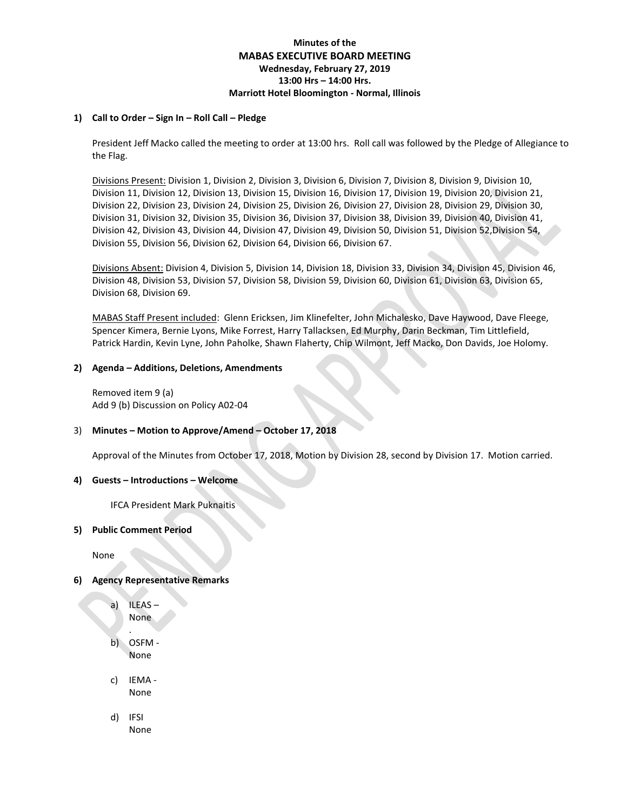# **Minutes of the MABAS EXECUTIVE BOARD MEETING Wednesday, February 27, 2019 13:00 Hrs – 14:00 Hrs. Marriott Hotel Bloomington - Normal, Illinois**

### **1) Call to Order – Sign In – Roll Call – Pledge**

President Jeff Macko called the meeting to order at 13:00 hrs. Roll call was followed by the Pledge of Allegiance to the Flag.

Divisions Present: Division 1, Division 2, Division 3, Division 6, Division 7, Division 8, Division 9, Division 10, Division 11, Division 12, Division 13, Division 15, Division 16, Division 17, Division 19, Division 20, Division 21, Division 22, Division 23, Division 24, Division 25, Division 26, Division 27, Division 28, Division 29, Division 30, Division 31, Division 32, Division 35, Division 36, Division 37, Division 38, Division 39, Division 40, Division 41, Division 42, Division 43, Division 44, Division 47, Division 49, Division 50, Division 51, Division 52,Division 54, Division 55, Division 56, Division 62, Division 64, Division 66, Division 67.

Divisions Absent: Division 4, Division 5, Division 14, Division 18, Division 33, Division 34, Division 45, Division 46, Division 48, Division 53, Division 57, Division 58, Division 59, Division 60, Division 61, Division 63, Division 65, Division 68, Division 69.

MABAS Staff Present included: Glenn Ericksen, Jim Klinefelter, John Michalesko, Dave Haywood, Dave Fleege, Spencer Kimera, Bernie Lyons, Mike Forrest, Harry Tallacksen, Ed Murphy, Darin Beckman, Tim Littlefield, Patrick Hardin, Kevin Lyne, John Paholke, Shawn Flaherty, Chip Wilmont, Jeff Macko, Don Davids, Joe Holomy.

### **2) Agenda – Additions, Deletions, Amendments**

Removed item 9 (a) Add 9 (b) Discussion on Policy A02-04

## 3) **Minutes – Motion to Approve/Amend – October 17, 2018**

Approval of the Minutes from October 17, 2018, Motion by Division 28, second by Division 17. Motion carried.

### **4) Guests – Introductions – Welcome**

IFCA President Mark Puknaitis

### **5) Public Comment Period**

None

## **6) Agency Representative Remarks**

- a) ILEAS None
- . b) OSFM - None
- c) IEMA None
- d) IFSI None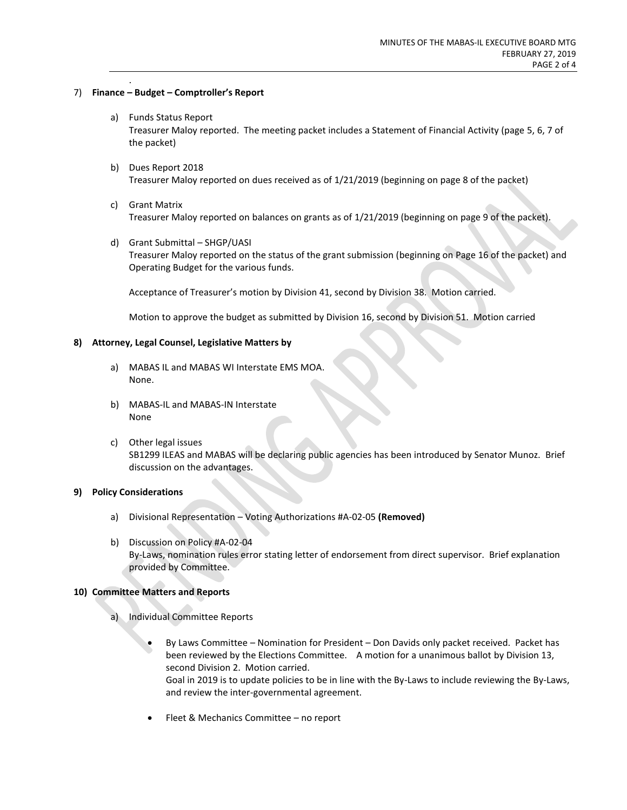## 7) **Finance – Budget – Comptroller's Report**

.

- a) Funds Status Report Treasurer Maloy reported. The meeting packet includes a Statement of Financial Activity (page 5, 6, 7 of the packet)
- b) Dues Report 2018 Treasurer Maloy reported on dues received as of 1/21/2019 (beginning on page 8 of the packet)
- c) Grant Matrix Treasurer Maloy reported on balances on grants as of 1/21/2019 (beginning on page 9 of the packet).
- d) Grant Submittal SHGP/UASI Treasurer Maloy reported on the status of the grant submission (beginning on Page 16 of the packet) and Operating Budget for the various funds.

Acceptance of Treasurer's motion by Division 41, second by Division 38. Motion carried.

Motion to approve the budget as submitted by Division 16, second by Division 51. Motion carried

### **8) Attorney, Legal Counsel, Legislative Matters by**

- a) MABAS IL and MABAS WI Interstate EMS MOA. None.
- b) MABAS-IL and MABAS-IN Interstate None
- c) Other legal issues SB1299 ILEAS and MABAS will be declaring public agencies has been introduced by Senator Munoz. Brief discussion on the advantages.

## **9) Policy Considerations**

- a) Divisional Representation Voting Authorizations #A-02-05 **(Removed)**
- b) Discussion on Policy #A-02-04 By-Laws, nomination rules error stating letter of endorsement from direct supervisor. Brief explanation provided by Committee.

### **10) Committee Matters and Reports**

- a) Individual Committee Reports
	- By Laws Committee Nomination for President Don Davids only packet received. Packet has been reviewed by the Elections Committee. A motion for a unanimous ballot by Division 13, second Division 2. Motion carried. Goal in 2019 is to update policies to be in line with the By-Laws to include reviewing the By-Laws, and review the inter-governmental agreement.
	- Fleet & Mechanics Committee no report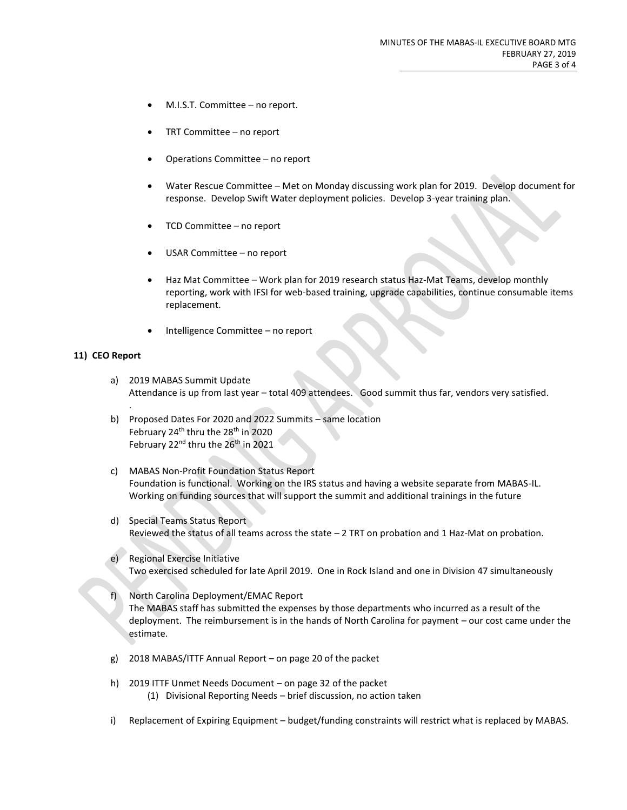- M.I.S.T. Committee no report.
- TRT Committee no report
- Operations Committee no report
- Water Rescue Committee Met on Monday discussing work plan for 2019. Develop document for response. Develop Swift Water deployment policies. Develop 3-year training plan.
- TCD Committee no report
- USAR Committee no report
- Haz Mat Committee Work plan for 2019 research status Haz-Mat Teams, develop monthly reporting, work with IFSI for web-based training, upgrade capabilities, continue consumable items replacement.
- Intelligence Committee no report

### **11) CEO Report**

.

- a) 2019 MABAS Summit Update Attendance is up from last year – total 409 attendees. Good summit thus far, vendors very satisfied.
- b) Proposed Dates For 2020 and 2022 Summits same location February 24<sup>th</sup> thru the 28<sup>th</sup> in 2020 February 22<sup>nd</sup> thru the 26<sup>th</sup> in 2021
- c) MABAS Non-Profit Foundation Status Report Foundation is functional. Working on the IRS status and having a website separate from MABAS-IL. Working on funding sources that will support the summit and additional trainings in the future
- d) Special Teams Status Report Reviewed the status of all teams across the state – 2 TRT on probation and 1 Haz-Mat on probation.
- e) Regional Exercise Initiative Two exercised scheduled for late April 2019. One in Rock Island and one in Division 47 simultaneously
- f) North Carolina Deployment/EMAC Report The MABAS staff has submitted the expenses by those departments who incurred as a result of the deployment. The reimbursement is in the hands of North Carolina for payment – our cost came under the estimate.
- g) 2018 MABAS/ITTF Annual Report on page 20 of the packet
- h) 2019 ITTF Unmet Needs Document on page 32 of the packet (1) Divisional Reporting Needs – brief discussion, no action taken
- i) Replacement of Expiring Equipment budget/funding constraints will restrict what is replaced by MABAS.